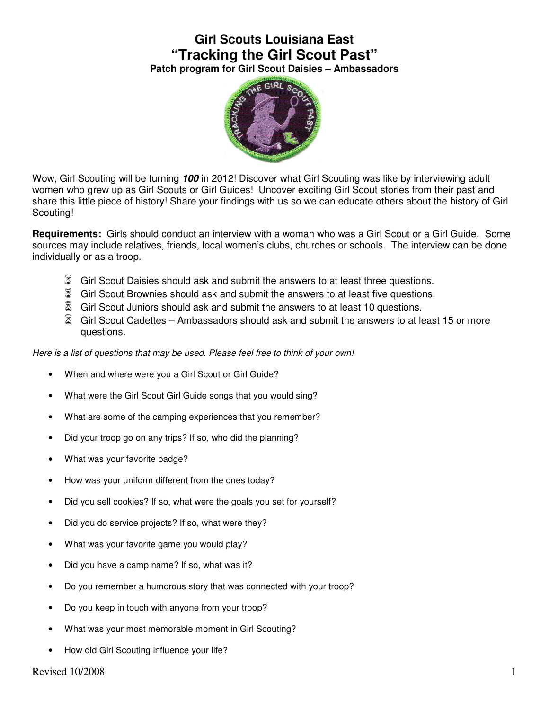## **Girl Scouts Louisiana East "Tracking the Girl Scout Past" Patch program for Girl Scout Daisies – Ambassadors**



Wow, Girl Scouting will be turning **100** in 2012! Discover what Girl Scouting was like by interviewing adult women who grew up as Girl Scouts or Girl Guides! Uncover exciting Girl Scout stories from their past and share this little piece of history! Share your findings with us so we can educate others about the history of Girl Scouting!

**Requirements:** Girls should conduct an interview with a woman who was a Girl Scout or a Girl Guide. Some sources may include relatives, friends, local women's clubs, churches or schools. The interview can be done individually or as a troop.

- $\%$  Girl Scout Daisies should ask and submit the answers to at least three questions.
- $\%$  Girl Scout Brownies should ask and submit the answers to at least five questions.
- $\%$  Girl Scout Juniors should ask and submit the answers to at least 10 questions.
- Girl Scout Cadettes Ambassadors should ask and submit the answers to at least 15 or more questions.

Here is a list of questions that may be used. Please feel free to think of your own!

- When and where were you a Girl Scout or Girl Guide?
- What were the Girl Scout Girl Guide songs that you would sing?
- What are some of the camping experiences that you remember?
- Did your troop go on any trips? If so, who did the planning?
- What was your favorite badge?
- How was your uniform different from the ones today?
- Did you sell cookies? If so, what were the goals you set for yourself?
- Did you do service projects? If so, what were they?
- What was your favorite game you would play?
- Did you have a camp name? If so, what was it?
- Do you remember a humorous story that was connected with your troop?
- Do you keep in touch with anyone from your troop?
- What was your most memorable moment in Girl Scouting?
- How did Girl Scouting influence your life?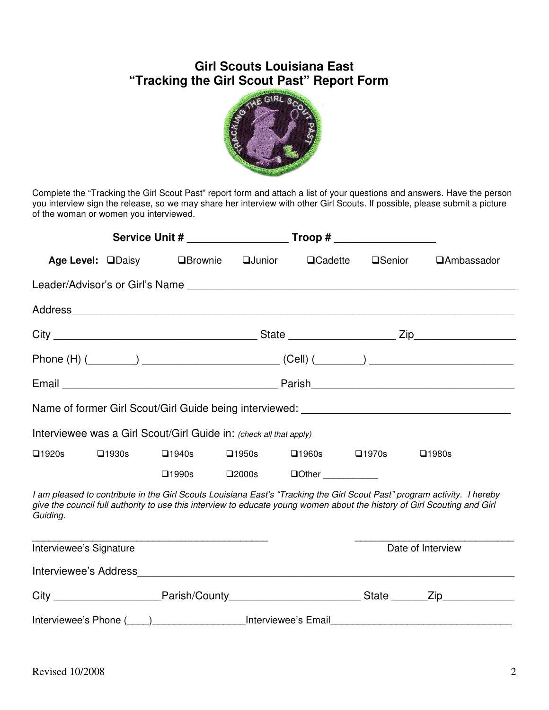## **Girl Scouts Louisiana East "Tracking the Girl Scout Past" Report Form**



Complete the "Tracking the Girl Scout Past" report form and attach a list of your questions and answers. Have the person you interview sign the release, so we may share her interview with other Girl Scouts. If possible, please submit a picture of the woman or women you interviewed.

| Service Unit # Troop #  |                          |                                                                    |                 |                 |                   |                                                                                                                                                                                                                                                      |  |  |
|-------------------------|--------------------------|--------------------------------------------------------------------|-----------------|-----------------|-------------------|------------------------------------------------------------------------------------------------------------------------------------------------------------------------------------------------------------------------------------------------------|--|--|
|                         | Age Level: <b>QDaisy</b> | <b>QBrownie</b>                                                    | <b>QJunior</b>  | $\Box$ Cadette  | <b>OSenior</b>    | <b>QAmbassador</b>                                                                                                                                                                                                                                   |  |  |
|                         |                          |                                                                    |                 |                 |                   |                                                                                                                                                                                                                                                      |  |  |
|                         |                          |                                                                    |                 |                 |                   |                                                                                                                                                                                                                                                      |  |  |
|                         |                          |                                                                    |                 |                 |                   |                                                                                                                                                                                                                                                      |  |  |
|                         |                          |                                                                    |                 |                 |                   |                                                                                                                                                                                                                                                      |  |  |
|                         |                          |                                                                    |                 |                 |                   |                                                                                                                                                                                                                                                      |  |  |
|                         |                          |                                                                    |                 |                 |                   |                                                                                                                                                                                                                                                      |  |  |
|                         |                          | Interviewee was a Girl Scout/Girl Guide in: (check all that apply) |                 |                 |                   |                                                                                                                                                                                                                                                      |  |  |
| $\square$ 1920s         | $\square$ 1930s          | $\square$ 1940s                                                    | $\square$ 1950s | $\square$ 1960s | $\square$ 1970s   | $\square$ 1980s                                                                                                                                                                                                                                      |  |  |
|                         |                          | $\square$ 1990s                                                    | $\square$ 2000s |                 |                   |                                                                                                                                                                                                                                                      |  |  |
| Guiding.                |                          |                                                                    |                 |                 |                   | I am pleased to contribute in the Girl Scouts Louisiana East's "Tracking the Girl Scout Past" program activity. I hereby<br>give the council full authority to use this interview to educate young women about the history of Girl Scouting and Girl |  |  |
| Interviewee's Signature |                          |                                                                    |                 |                 | Date of Interview |                                                                                                                                                                                                                                                      |  |  |
|                         |                          |                                                                    |                 |                 |                   |                                                                                                                                                                                                                                                      |  |  |
|                         |                          |                                                                    |                 |                 |                   | City __________________________Parish/County____________________________State _______Zip____________                                                                                                                                                 |  |  |
|                         |                          |                                                                    |                 |                 |                   | Interviewee's Phone (exceptional contract of the exceptional contract of the exception of the exception of the                                                                                                                                       |  |  |